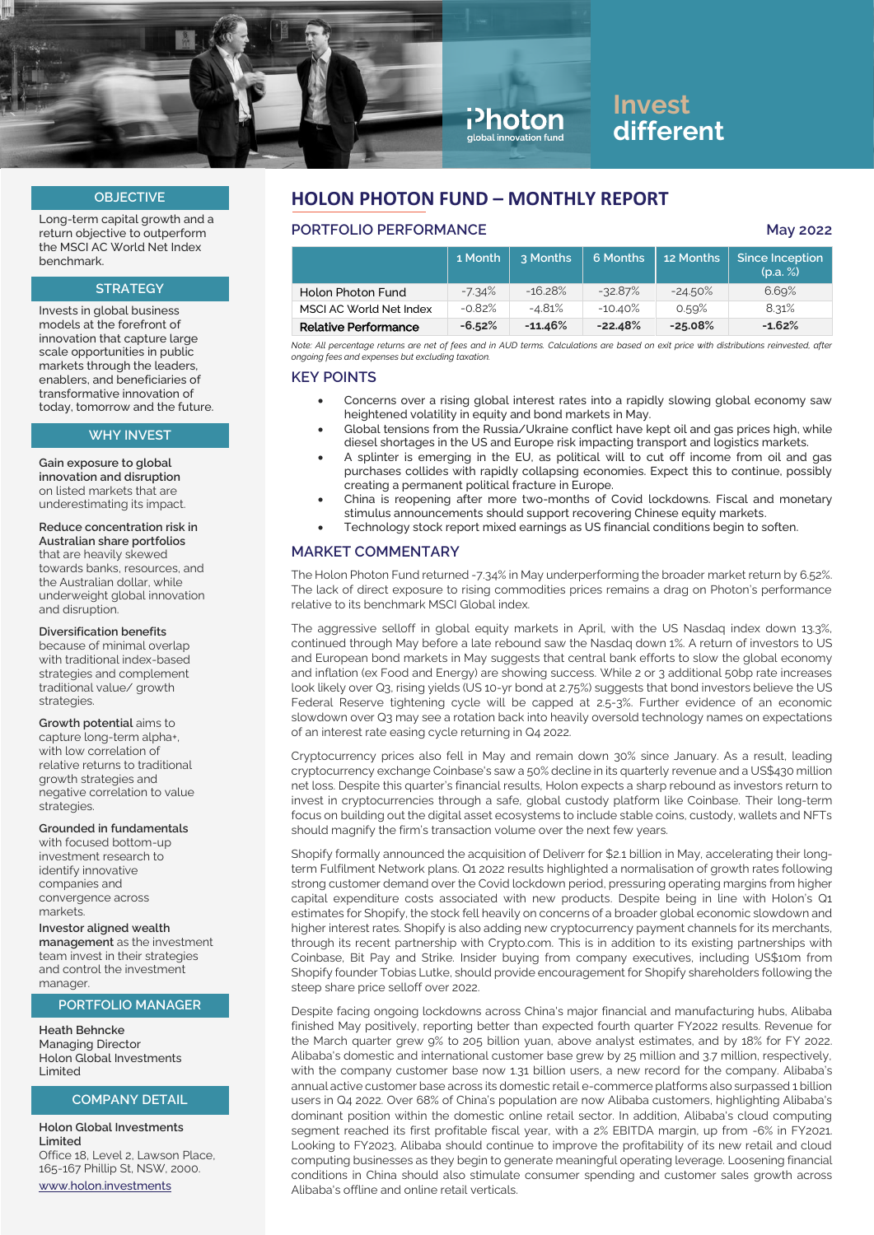

# **Invest different**

#### **OBJECTIVE**

Long-term capital growth and a return objective to outperform the MSCI AC World Net Index benchmark.

## **STRATEGY**

Invests in global business models at the forefront of innovation that capture large scale opportunities in public markets through the leaders, enablers, and beneficiaries of transformative innovation of today, tomorrow and the future.

#### **WHY INVEST**

**Gain exposure to global innovation and disruption** on listed markets that are underestimating its impact.

#### **Reduce concentration risk in Australian share portfolios**  that are heavily skewed

towards banks, resources, and the Australian dollar, while underweight global innovation and disruption.

#### **Diversification benefits**

because of minimal overlap with traditional index-based strategies and complement traditional value/ growth strategies.

#### **Growth potential** aims to

capture long-term alpha+, with low correlation of relative returns to traditional growth strategies and negative correlation to value strategies.

#### **Grounded in fundamentals**

with focused bottom-up investment research to identify innovative companies and convergence across markate

#### **Investor aligned wealth**

**management** as the investment team invest in their strategies and control the investment manager.

#### **PORTFOLIO MANAGER**

**Heath Behncke** Managing Director Holon Global Investments Limited

#### **COMPANY DETAIL**

**Holon Global Investments Limited** Office 18, Level 2, Lawson Place, 165-167 Phillip St, NSW, 2000. [www.holon.investments](http://www.holon.investments/)

## **HOLON PHOTON FUND – MONTHLY REPORT**

## **PORTFOLIO PERFORMANCE May 2022**

|                             | 1 Month  | 3 Months   | 6 Months  | 12 Months | Since Inception<br>(p.a. %) |
|-----------------------------|----------|------------|-----------|-----------|-----------------------------|
| Holon Photon Fund           | $-7.34%$ | $-16.28%$  | $-32.87%$ | $-24.50%$ | 6.69%                       |
| MSCI AC World Net Index     | $-0.82%$ | $-4.81%$   | $-10.40%$ | 0.59%     | 8.31%                       |
| <b>Relative Performance</b> | $-6.52%$ | $-11.46\%$ | $-22.48%$ | $-25.08%$ | $-1.62%$                    |

*Note: All percentage returns are net of fees and in AUD terms. Calculations are based on exit price with distributions reinvested, after ongoing fees and expenses but excluding taxation.*

#### **KEY POINTS**

- Concerns over a rising global interest rates into a rapidly slowing global economy saw heightened volatility in equity and bond markets in May.
- Global tensions from the Russia/Ukraine conflict have kept oil and gas prices high, while diesel shortages in the US and Europe risk impacting transport and logistics markets.
- A splinter is emerging in the EU, as political will to cut off income from oil and gas purchases collides with rapidly collapsing economies. Expect this to continue, possibly creating a permanent political fracture in Europe.
- China is reopening after more two-months of Covid lockdowns. Fiscal and monetary stimulus announcements should support recovering Chinese equity markets.
- Technology stock report mixed earnings as US financial conditions begin to soften.

## **MARKET COMMENTARY**

The Holon Photon Fund returned -7.34% in May underperforming the broader market return by 6.52%. The lack of direct exposure to rising commodities prices remains a drag on Photon's performance relative to its benchmark MSCI Global index.

The aggressive selloff in global equity markets in April, with the US Nasdaq index down 13.3%, continued through May before a late rebound saw the Nasdaq down 1%. A return of investors to US and European bond markets in May suggests that central bank efforts to slow the global economy and inflation (ex Food and Energy) are showing success. While 2 or 3 additional 50bp rate increases look likely over Q3, rising yields (US 10-yr bond at 2.75%) suggests that bond investors believe the US Federal Reserve tightening cycle will be capped at 2.5-3%. Further evidence of an economic slowdown over Q3 may see a rotation back into heavily oversold technology names on expectations of an interest rate easing cycle returning in Q4 2022.

Cryptocurrency prices also fell in May and remain down 30% since January. As a result, leading cryptocurrency exchange Coinbase's saw a 50% decline in its quarterly revenue and a US\$430 million net loss. Despite this quarter's financial results, Holon expects a sharp rebound as investors return to invest in cryptocurrencies through a safe, global custody platform like Coinbase. Their long-term focus on building out the digital asset ecosystems to include stable coins, custody, wallets and NFTs should magnify the firm's transaction volume over the next few years.

Shopify formally announced the acquisition of Deliverr for \$2.1 billion in May, accelerating their longterm Fulfilment Network plans. Q1 2022 results highlighted a normalisation of growth rates following strong customer demand over the Covid lockdown period, pressuring operating margins from higher capital expenditure costs associated with new products. Despite being in line with Holon's Q1 estimates for Shopify, the stock fell heavily on concerns of a broader global economic slowdown and higher interest rates. Shopify is also adding new cryptocurrency payment channels for its merchants, through its recent partnership with Crypto.com. This is in addition to its existing partnerships with Coinbase, Bit Pay and Strike. Insider buying from company executives, including US\$10m from Shopify founder Tobias Lutke, should provide encouragement for Shopify shareholders following the steep share price selloff over 2022.

Despite facing ongoing lockdowns across China's major financial and manufacturing hubs, Alibaba finished May positively, reporting better than expected fourth quarter FY2022 results. Revenue for the March quarter grew 9% to 205 billion yuan, above analyst estimates, and by 18% for FY 2022. Alibaba's domestic and international customer base grew by 25 million and 3.7 million, respectively, with the company customer base now 1.31 billion users, a new record for the company. Alibaba's annual active customer base across its domestic retail e-commerce platforms also surpassed 1 billion users in Q4 2022. Over 68% of China's population are now Alibaba customers, highlighting Alibaba's dominant position within the domestic online retail sector. In addition, Alibaba's cloud computing segment reached its first profitable fiscal year, with a 2% EBITDA margin, up from -6% in FY2021. Looking to FY2023, Alibaba should continue to improve the profitability of its new retail and cloud computing businesses as they begin to generate meaningful operating leverage. Loosening financial conditions in China should also stimulate consumer spending and customer sales growth across Alibaba's offline and online retail verticals.